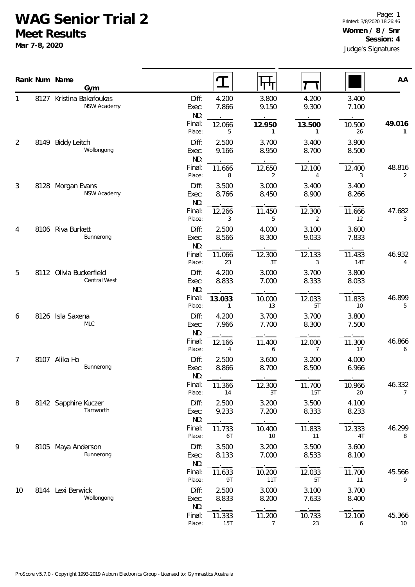## **WAG Senior Trial 2**

**Meet Results**

**Mar 7-8, 2020**

|        |      | Rank Num Name<br>Gym                           |                       |                          | पाप                      |                        |                      | AA                       |
|--------|------|------------------------------------------------|-----------------------|--------------------------|--------------------------|------------------------|----------------------|--------------------------|
| 1<br>2 | 8127 | Kristina Bakafoukas<br>NSW Academy             | Diff:<br>Exec:<br>ND: | 4.200<br>7.866           | 3.800<br>9.150           | 4.200<br>9.300         | 3.400<br>7.100       |                          |
|        |      |                                                | Final:<br>Place:      | 12.066<br>5              | 12.950<br>$\mathbf{1}$   | 13.500<br>$\mathbf{1}$ | 10.500<br>26         | 49.016<br>1              |
|        | 8149 | <b>Biddy Leitch</b><br>Wollongong              | Diff:<br>Exec:<br>ND: | 2.500<br>9.166           | 3.700<br>8.950           | 3.400<br>8.700         | 3.900<br>8.500       |                          |
|        |      |                                                | Final:<br>Place:      | 11.666<br>8              | 12.650<br>2              | 12.100<br>4            | 12.400<br>3          | 48.816<br>2              |
| 3      |      | 8128 Morgan Evans<br>NSW Academy               | Diff:<br>Exec:<br>ND: | 3.500<br>8.766           | 3.000<br>8.450           | 3.400<br>8.900         | 3.400<br>8.266       |                          |
|        |      |                                                | Final:<br>Place:      | 12.266<br>3              | 11.450<br>5              | 12.300<br>2            | 11.666<br>12         | 47.682<br>3              |
| 4<br>5 | 8106 | Riva Burkett<br>Bunnerong                      | Diff:<br>Exec:<br>ND: | 2.500<br>8.566           | 4.000<br>8.300           | 3.100<br>9.033         | 3.600<br>7.833       |                          |
|        |      |                                                | Final:<br>Place:      | 11.066<br>23             | 12.300<br>3T             | 12.133<br>3            | 11.433<br><b>14T</b> | 46.932<br>4              |
|        |      | 8112 Olivia Buckerfield<br><b>Central West</b> | Diff:<br>Exec:<br>ND: | 4.200<br>8.833           | 3.000<br>7.000           | 3.700<br>8.333         | 3.800<br>8.033       |                          |
|        |      |                                                | Final:<br>Place:      | 13.033<br>$\mathbf{1}$   | 10.000<br>13             | 12.033<br>5T           | 11.833<br>10         | 46.899<br>5              |
| 6      |      | 8126 Isla Saxena<br><b>MLC</b>                 | Diff:<br>Exec:<br>ND: | 4.200<br>7.966           | 3.700<br>7.700           | 3.700<br>8.300         | 3.800<br>7.500       |                          |
|        |      |                                                | Final:<br>Place:      | 12.166<br>$\overline{4}$ | 11.400<br>6              | 12.000<br>7            | 11.300<br>17         | 46.866<br>6              |
| 7      |      | 8107 Alika Ho<br>Bunnerong                     | Diff:<br>Exec:<br>ND: | 2.500<br>8.866           | 3.600<br>8.700           | 3.200<br>8.500         | 4.000<br>6.966       |                          |
|        |      |                                                | Final:<br>Place:      | 11.366<br>14             | 12.300<br>3T             | 11.700<br>15T          | 10.966<br>20         | 46.332<br>$\overline{7}$ |
| 8      |      | 8142 Sapphire Kuczer<br>Tamworth               | Diff:<br>Exec:<br>ND: | 2.500<br>9.233           | 3.200<br>7.200           | 3.500<br>8.333         | 4.100<br>8.233       |                          |
|        |      |                                                | Final:<br>Place:      | 11.733<br>6T             | 10.400<br>10             | 11.833<br>11           | 12.333<br>4T         | 46.299<br>8              |
| 9      | 8105 | Maya Anderson<br>Bunnerong                     | Diff:<br>Exec:<br>ND: | 3.500<br>8.133           | 3.200<br>7.000           | 3.500<br>8.533         | 3.600<br>8.100       |                          |
|        |      |                                                | Final:<br>Place:      | 11.633<br>9T             | 10.200<br>11T            | 12.033<br>5T           | 11.700<br>11         | 45.566<br>9              |
| 10     |      | 8144 Lexi Berwick<br>Wollongong                | Diff:<br>Exec:<br>ND: | 2.500<br>8.833           | 3.000<br>8.200           | 3.100<br>7.633         | 3.700<br>8.400       |                          |
|        |      |                                                | Final:<br>Place:      | 11.333<br>15T            | 11.200<br>$\overline{7}$ | 10.733<br>23           | 12.100<br>6          | 45.366<br>10             |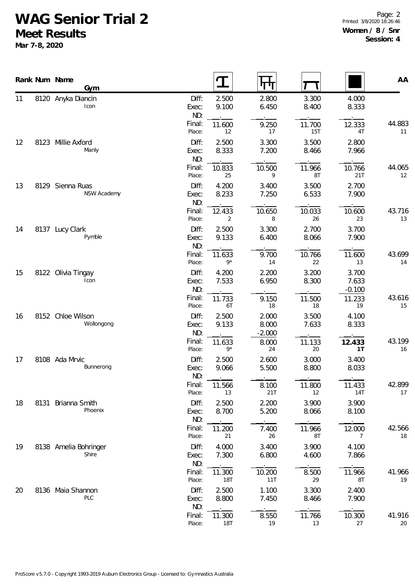## **WAG Senior Trial 2**

**Meet Results**

**Mar 7-8, 2020**

Page: 2 Printed: 3/8/2020 18:26:46 **Women / 8 / Snr Session: 4**

|          |      | Rank Num Name<br>Gym            |                                 |                          | पग                      |                          |                                      | AA           |
|----------|------|---------------------------------|---------------------------------|--------------------------|-------------------------|--------------------------|--------------------------------------|--------------|
| 11       |      | 8120 Anyka Diancin<br>Icon      | Diff:<br>Exec:<br>ND:           | 2.500<br>9.100           | 2.800<br>6.450          | 3.300<br>8.400           | 4.000<br>8.333                       |              |
|          |      |                                 | Final:<br>Place:                | 11.600<br>12             | 9.250<br>17             | 11.700<br><b>15T</b>     | 12.333<br>4T                         | 44.883<br>11 |
| 12       |      | 8123 Millie Axford<br>Manly     | Diff:<br>Exec:<br>ND:           | 2.500<br>8.333           | 3.300<br>7.200          | 3.500<br>8.466           | 2.800<br>7.966                       |              |
|          |      |                                 | Final:<br>Place:                | 10.833<br>25             | 10.500<br>9             | 11.966<br>8T             | 10.766<br>21T                        | 44.065<br>12 |
| 13       |      | 8129 Sienna Ruas<br>NSW Academy | Diff:<br>Exec:<br>ND:           | 4.200<br>8.233           | 3.400<br>7.250          | 3.500<br>6.533           | 2.700<br>7.900                       |              |
|          |      |                                 | Final:<br>Place:                | 12.433<br>2              | 10.650<br>8             | 10.033<br>26             | 10.600<br>23                         | 43.716<br>13 |
| 14<br>15 | 8137 | Lucy Clark<br>Pymble            | Diff:<br>Exec:<br>ND:           | 2.500<br>9.133           | 3.300<br>6.400          | 2.700<br>8.066           | 3.700<br>7.900                       |              |
|          |      |                                 | Final:<br>Place:                | 11.633<br>$9*$           | 9.700<br>14             | 10.766<br>22             | 11.600<br>13                         | 43.699<br>14 |
|          |      | 8122 Olivia Tingay<br>Icon      | Diff:<br>Exec:<br>ND:<br>Final: | 4.200<br>7.533<br>11.733 | 2.200<br>6.950<br>9.150 | 3.200<br>8.300<br>11.500 | 3.700<br>7.633<br>$-0.100$<br>11.233 | 43.616       |
| 16       |      | 8152 Chloe Wilson<br>Wollongong | Place:<br>Diff:<br>Exec:        | 6T<br>2.500<br>9.133     | 18<br>2.000<br>8.000    | 18<br>3.500<br>7.633     | 19<br>4.100<br>8.333                 | 15           |
|          |      |                                 | ND:<br>Final:<br>Place:         | 11.633<br>$9*$           | $-2.000$<br>8.000<br>24 | 11.133<br>20             | 12.433<br>1T                         | 43.199<br>16 |
| 17       |      | 8108 Ada Mrvic<br>Bunnerong     | Diff:<br>Exec:<br>ND:           | 2.500<br>9.066           | 2.600<br>5.500          | 3.000<br>8.800           | 3.400<br>8.033                       |              |
|          |      |                                 | Final:<br>Place:                | 11.566<br>13             | 8.100<br>21T            | 11.800<br>12             | 11.433<br>14T                        | 42.899<br>17 |
| 18       | 8131 | Brianna Smith<br>Phoenix        | Diff:<br>Exec:<br>ND:           | 2.500<br>8.700           | 2.200<br>5.200          | 3.900<br>8.066           | 3.900<br>8.100                       |              |
|          |      |                                 | Final:<br>Place:                | 11.200<br>21             | 7.400<br>26             | 11.966<br>8T             | 12.000<br>$\overline{7}$             | 42.566<br>18 |
| 19       |      | 8138 Amelia Bohringer<br>Shire  | Diff:<br>Exec:<br>ND:           | 4.000<br>7.300           | 3.400<br>6.800          | 3.900<br>4.600           | 4.100<br>7.866                       |              |
|          |      |                                 | Final:<br>Place:                | 11.300<br><b>18T</b>     | 10.200<br>11T           | 8.500<br>29              | 11.966<br>8T                         | 41.966<br>19 |
| 20       |      | 8136 Maia Shannon<br>PLC        | Diff:<br>Exec:<br>ND:           | 2.500<br>8.800           | 1.100<br>7.450          | 3.300<br>8.466           | 2.400<br>7.900                       |              |
|          |      |                                 | Final:<br>Place:                | 11.300<br><b>18T</b>     | 8.550<br>19             | 11.766<br>13             | 10.300<br>27                         | 41.916<br>20 |